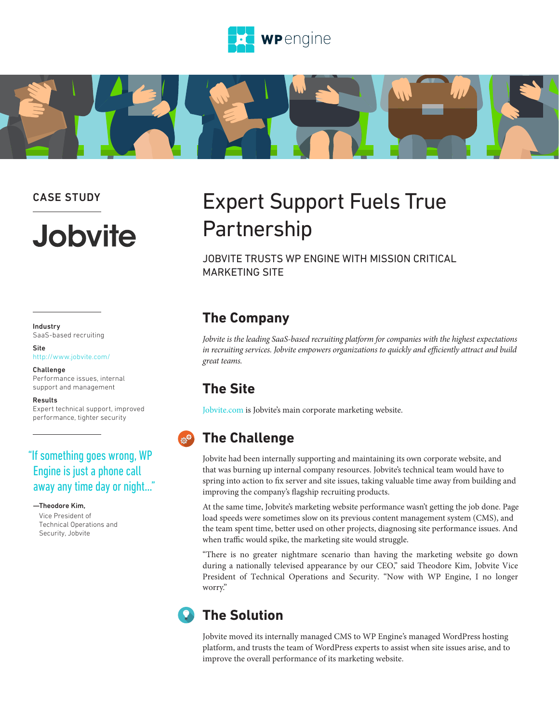



#### CASE STUDY

# **Jobvite**

#### Industry SaaS-based recruiting

Site

#### <http://www.jobvite.com/> Challenge

Performance issues, internal support and management

#### Results

Expert technical support, improved performance, tighter security

#### "If something goes wrong, WP Engine is just a phone call away any time day or night…"

—Theodore Kim, Vice President of Technical Operations and Security, Jobvite

## Expert Support Fuels True Partnership

JOBVITE TRUSTS WP ENGINE WITH MISSION CRITICAL MARKETING SITE

#### **The Company**

*Jobvite is the leading SaaS-based recruiting platform for companies with the highest expectations in recruiting services. Jobvite empowers organizations to quickly and efficiently attract and build great teams.*

#### **The Site**

[Jobvite.com](http://www.jobvite.com/) is Jobvite's main corporate marketing website.

## **The Challenge**

Jobvite had been internally supporting and maintaining its own corporate website, and that was burning up internal company resources. Jobvite's technical team would have to spring into action to fix server and site issues, taking valuable time away from building and improving the company's flagship recruiting products.

At the same time, Jobvite's marketing website performance wasn't getting the job done. Page load speeds were sometimes slow on its previous content management system (CMS), and the team spent time, better used on other projects, diagnosing site performance issues. And when traffic would spike, the marketing site would struggle.

"There is no greater nightmare scenario than having the marketing website go down during a nationally televised appearance by our CEO," said Theodore Kim, Jobvite Vice President of Technical Operations and Security. "Now with WP Engine, I no longer worry."

## **The Solution**

Jobvite moved its internally managed CMS to WP Engine's managed WordPress hosting platform, and trusts the team of WordPress experts to assist when site issues arise, and to improve the overall performance of its marketing website.